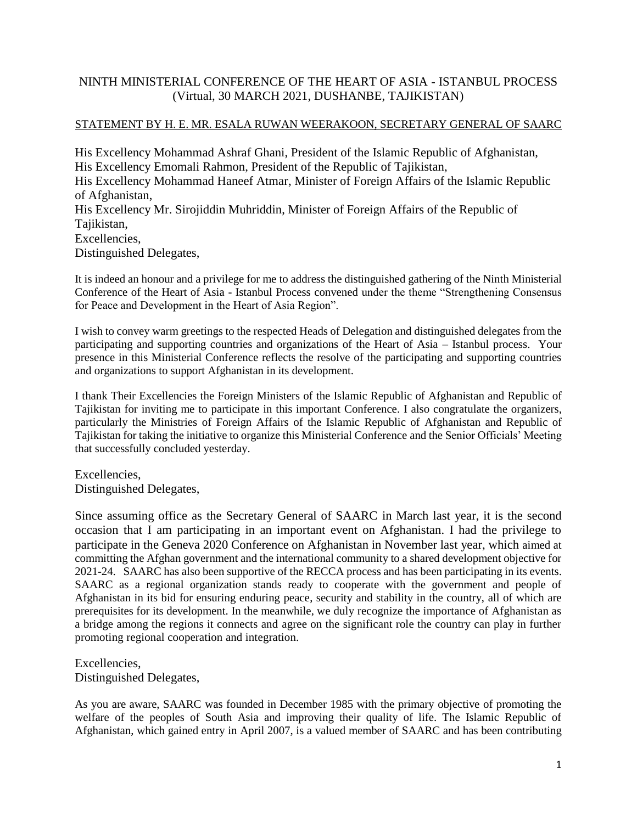## NINTH MINISTERIAL CONFERENCE OF THE HEART OF ASIA - ISTANBUL PROCESS (Virtual, 30 MARCH 2021, DUSHANBE, TAJIKISTAN)

## STATEMENT BY H. E. MR. ESALA RUWAN WEERAKOON, SECRETARY GENERAL OF SAARC

His Excellency Mohammad Ashraf Ghani, President of the Islamic Republic of Afghanistan, His Excellency Emomali Rahmon, President of the Republic of Tajikistan, His Excellency Mohammad Haneef Atmar, Minister of Foreign Affairs of the Islamic Republic of Afghanistan, His Excellency Mr. Sirojiddin Muhriddin, Minister of Foreign Affairs of the Republic of Tajikistan. Excellencies, Distinguished Delegates,

It is indeed an honour and a privilege for me to address the distinguished gathering of the Ninth Ministerial Conference of the Heart of Asia - Istanbul Process convened under the theme "Strengthening Consensus for Peace and Development in the Heart of Asia Region".

I wish to convey warm greetings to the respected Heads of Delegation and distinguished delegates from the participating and supporting countries and organizations of the Heart of Asia – Istanbul process. Your presence in this Ministerial Conference reflects the resolve of the participating and supporting countries and organizations to support Afghanistan in its development.

I thank Their Excellencies the Foreign Ministers of the Islamic Republic of Afghanistan and Republic of Tajikistan for inviting me to participate in this important Conference. I also congratulate the organizers, particularly the Ministries of Foreign Affairs of the Islamic Republic of Afghanistan and Republic of Tajikistan for taking the initiative to organize this Ministerial Conference and the Senior Officials' Meeting that successfully concluded yesterday.

Excellencies, Distinguished Delegates,

Since assuming office as the Secretary General of SAARC in March last year, it is the second occasion that I am participating in an important event on Afghanistan. I had the privilege to participate in the Geneva 2020 Conference on Afghanistan in November last year, which aimed at committing the Afghan government and the international community to a shared development objective for 2021-24. SAARC has also been supportive of the RECCA process and has been participating in its events. SAARC as a regional organization stands ready to cooperate with the government and people of Afghanistan in its bid for ensuring enduring peace, security and stability in the country, all of which are prerequisites for its development. In the meanwhile, we duly recognize the importance of Afghanistan as a bridge among the regions it connects and agree on the significant role the country can play in further promoting regional cooperation and integration.

Excellencies, Distinguished Delegates,

As you are aware, SAARC was founded in December 1985 with the primary objective of promoting the welfare of the peoples of South Asia and improving their quality of life. The Islamic Republic of Afghanistan, which gained entry in April 2007, is a valued member of SAARC and has been contributing